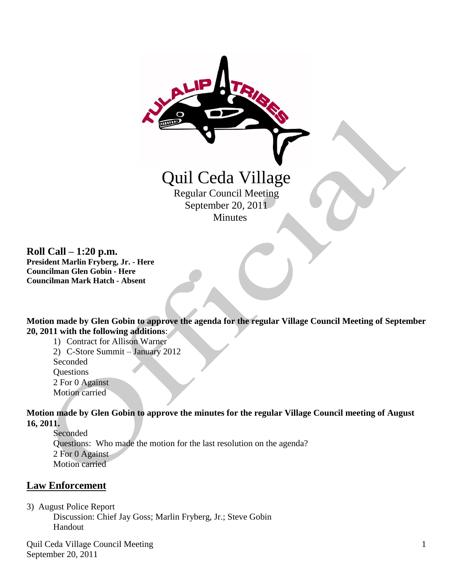

**Roll Call – 1:20 p.m. President Marlin Fryberg, Jr. - Here Councilman Glen Gobin - Here Councilman Mark Hatch - Absent**

**Motion made by Glen Gobin to approve the agenda for the regular Village Council Meeting of September 20, 2011 with the following additions**:

1) Contract for Allison Warner 2) C-Store Summit – January 2012 Seconded **Questions** 2 For 0 Against Motion carried

**Motion made by Glen Gobin to approve the minutes for the regular Village Council meeting of August 16, 2011.**

Seconded Questions: Who made the motion for the last resolution on the agenda? 2 For 0 Against Motion carried

# **Law Enforcement**

3) August Police Report

 Discussion: Chief Jay Goss; Marlin Fryberg, Jr.; Steve Gobin Handout

Quil Ceda Village Council Meeting September 20, 2011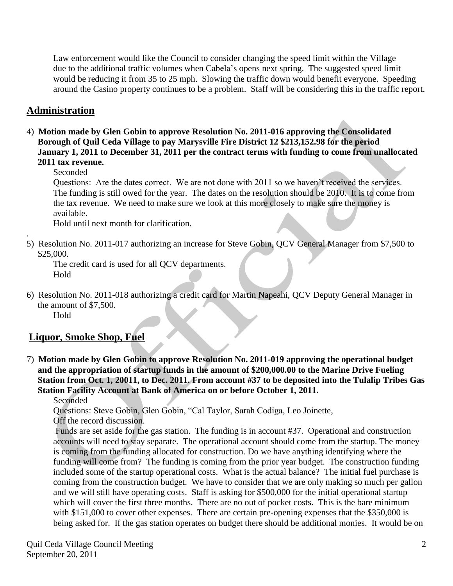Law enforcement would like the Council to consider changing the speed limit within the Village due to the additional traffic volumes when Cabela's opens next spring. The suggested speed limit would be reducing it from 35 to 25 mph. Slowing the traffic down would benefit everyone. Speeding around the Casino property continues to be a problem. Staff will be considering this in the traffic report.

## **Administration**

4) **Motion made by Glen Gobin to approve Resolution No. 2011-016 approving the Consolidated Borough of Quil Ceda Village to pay Marysville Fire District 12 \$213,152.98 for the period January 1, 2011 to December 31, 2011 per the contract terms with funding to come from unallocated 2011 tax revenue.**

Seconded

.

Questions: Are the dates correct. We are not done with 2011 so we haven't received the services. The funding is still owed for the year. The dates on the resolution should be 2010. It is to come from the tax revenue. We need to make sure we look at this more closely to make sure the money is available.

Hold until next month for clarification.

5) Resolution No. 2011-017 authorizing an increase for Steve Gobin, QCV General Manager from \$7,500 to \$25,000.

The credit card is used for all QCV departments. Hold

6) Resolution No. 2011-018 authorizing a credit card for Martin Napeahi, QCV Deputy General Manager in the amount of \$7,500. Hold

# **Liquor, Smoke Shop, Fuel**

7) **Motion made by Glen Gobin to approve Resolution No. 2011-019 approving the operational budget and the appropriation of startup funds in the amount of \$200,000.00 to the Marine Drive Fueling Station from Oct. 1, 20011, to Dec. 2011. From account #37 to be deposited into the Tulalip Tribes Gas Station Facility Account at Bank of America on or before October 1, 2011.**

Seconded

Questions: Steve Gobin, Glen Gobin, "Cal Taylor, Sarah Codiga, Leo Joinette, Off the record discussion.

Funds are set aside for the gas station. The funding is in account #37. Operational and construction accounts will need to stay separate. The operational account should come from the startup. The money is coming from the funding allocated for construction. Do we have anything identifying where the funding will come from? The funding is coming from the prior year budget. The construction funding included some of the startup operational costs. What is the actual balance? The initial fuel purchase is coming from the construction budget. We have to consider that we are only making so much per gallon and we will still have operating costs. Staff is asking for \$500,000 for the initial operational startup which will cover the first three months. There are no out of pocket costs. This is the bare minimum with \$151,000 to cover other expenses. There are certain pre-opening expenses that the \$350,000 is being asked for. If the gas station operates on budget there should be additional monies. It would be on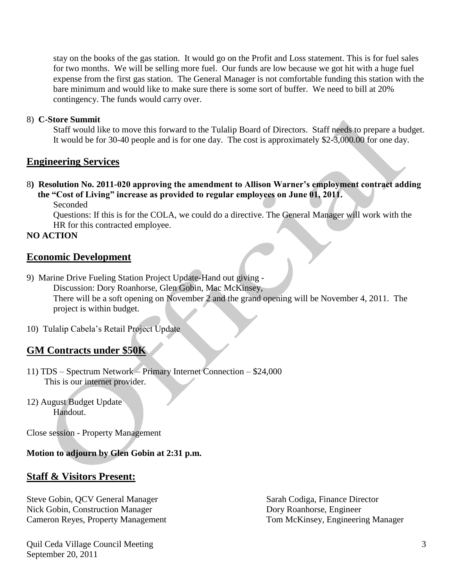stay on the books of the gas station. It would go on the Profit and Loss statement. This is for fuel sales for two months. We will be selling more fuel. Our funds are low because we got hit with a huge fuel expense from the first gas station. The General Manager is not comfortable funding this station with the bare minimum and would like to make sure there is some sort of buffer. We need to bill at 20% contingency. The funds would carry over.

#### 8) **C-Store Summit**

Staff would like to move this forward to the Tulalip Board of Directors. Staff needs to prepare a budget. It would be for 30-40 people and is for one day. The cost is approximately \$2-3,000.00 for one day.

### **Engineering Services**

- 8**) Resolution No. 2011-020 approving the amendment to Allison Warner's employment contract adding the "Cost of Living" increase as provided to regular employees on June 01, 2011.**
	- Seconded

Questions: If this is for the COLA, we could do a directive. The General Manager will work with the HR for this contracted employee.

### **NO ACTION**

### **Economic Development**

9) Marine Drive Fueling Station Project Update-Hand out giving - Discussion: Dory Roanhorse, Glen Gobin, Mac McKinsey, There will be a soft opening on November 2 and the grand opening will be November 4, 2011. The project is within budget.

10) Tulalip Cabela's Retail Project Update

### **GM Contracts under \$50K**

- 11) TDS Spectrum Network Primary Internet Connection \$24,000 This is our internet provider.
- 12) August Budget Update Handout.

Close session - Property Management

### **Motion to adjourn by Glen Gobin at 2:31 p.m.**

## **Staff & Visitors Present:**

Steve Gobin, QCV General Manager Sarah Codiga, Finance Director Nick Gobin, Construction Manager Dory Roanhorse, Engineer Cameron Reyes, Property Management Tom McKinsey, Engineering Manager

Quil Ceda Village Council Meeting September 20, 2011